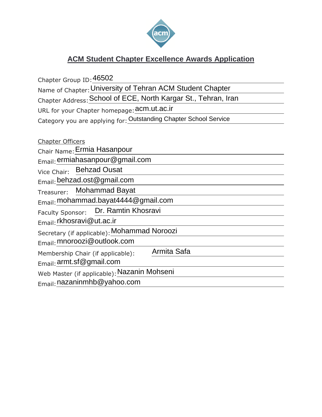

# **ACM Student Chapter Excellence Awards Application**

Chapter Group ID: 46502 Name of Chapter: University of Tehran ACM Student Chapter Chapter Address: School of ECE, North Kargar St., Tehran, Iran URL for your Chapter homepage: **acm.ut.ac.ir** Category you are applying for: Outstanding Chapter School Service Chapter Officers Chair Name: Ermia Hasanpour Email: ermiahasanpour@gmail.com Vice Chair: Behzad Ousat Email: behzad.ost@gmail.com Treasurer: Email: mohammad.bayat4444@gmail.com Faculty Sponsor:  $E_{\text{mail}}$ : rkhosravi@ut.ac.ir Email: <mark>rkhosravi@ut.ac.ir</mark><br>Secretary (if applicable): <mark>Mohammad Noroozi</mark> Email: mnoroozi@outlook.com Membership Chair (if applicable): Email: armt.sf@gmail.com Email: <mark>armt.sf@gmail.com</mark><br>Web Master (if applicable): <mark>Nazanin Mohseni</mark> Email: nazaninmhb@yahoo.comMohammad Bayat Dr. Ramtin Khosravi Armita Safa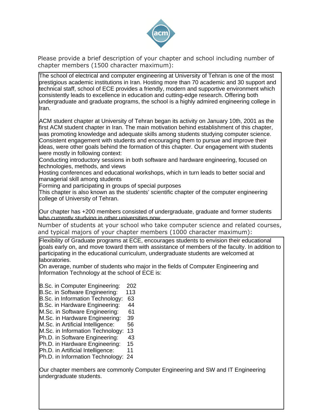

Please provide a brief description of your chapter and school including number of chapter members (1500 character maximum):

The school of electrical and computer engineering at University of Tehran is one of the most prestigious academic institutions in Iran. Hosting more than 70 academic and 30 support and technical staff, school of ECE provides a friendly, modern and supportive environment which consistently leads to excellence in education and cutting-edge research. Offering both undergraduate and graduate programs, the school is a highly admired engineering college in Iran.

ACM student chapter at University of Tehran began its activity on January 10th, 2001 as the first ACM student chapter in Iran. The main motivation behind establishment of this chapter, was promoting knowledge and adequate skills among students studying computer science. Consistent engagement with students and encouraging them to pursue and improve their ideas, were other goals behind the formation of this chapter. Our engagement with students were mostly in following context:

Conducting introductory sessions in both software and hardware engineering, focused on technologies, methods, and views

Hosting conferences and educational workshops, which in turn leads to better social and managerial skill among students

Forming and participating in groups of special purposes

This chapter is also known as the students' scientific chapter of the computer engineering college of University of Tehran.

Our chapter has +200 members consisted of undergraduate, graduate and former students who currently studying in other universities now.

Number of students at your school who take computer science and related courses, and typical majors of your chapter members (1000 character maximum):

Flexibility of Graduate programs at ECE, encourages students to envision their educational goals early on, and move toward them with assistance of members of the faculty. In addition to participating in the educational curriculum, undergraduate students are welcomed at laboratories.

On average, number of students who major in the fields of Computer Engineering and Information Technology at the school of ECE is:

B.Sc. in Computer Engineering: 202

- B.Sc. in Software Engineering: 113
- B.Sc. in Information Technology: 63
- B.Sc. in Hardware Engineering: 44
- M.Sc. in Software Engineering: 61
- M.Sc. in Hardware Engineering: 39
- M.Sc. in Artificial Intelligence: 56
- M.Sc. in Information Technology: 13
- Ph.D. in Software Engineering: 43
- Ph.D. in Hardware Engineering: 15
- Ph.D. in Artificial Intelligence: 11

Ph.D. in Information Technology: 24

Our chapter members are commonly Computer Engineering and SW and IT Engineering undergraduate students.